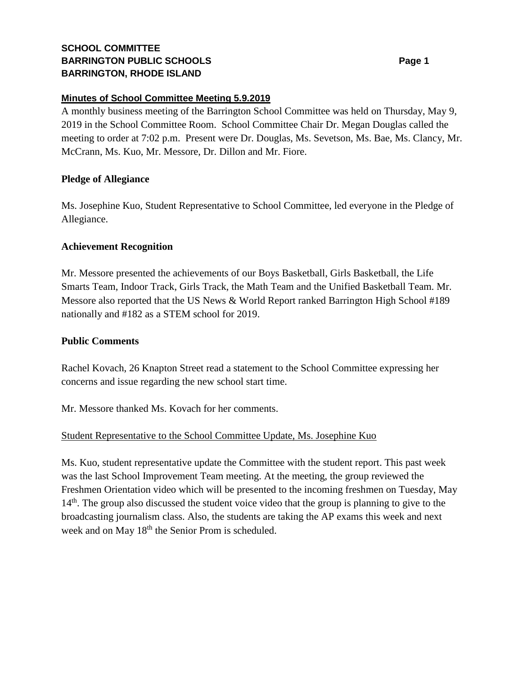# **SCHOOL COMMITTEE BARRINGTON PUBLIC SCHOOLS BARRINGTON, RHODE ISLAND**

### **Minutes of School Committee Meeting 5.9.2019**

A monthly business meeting of the Barrington School Committee was held on Thursday, May 9, 2019 in the School Committee Room. School Committee Chair Dr. Megan Douglas called the meeting to order at 7:02 p.m. Present were Dr. Douglas, Ms. Sevetson, Ms. Bae, Ms. Clancy, Mr. McCrann, Ms. Kuo, Mr. Messore, Dr. Dillon and Mr. Fiore.

## **Pledge of Allegiance**

Ms. Josephine Kuo, Student Representative to School Committee, led everyone in the Pledge of Allegiance.

## **Achievement Recognition**

Mr. Messore presented the achievements of our Boys Basketball, Girls Basketball, the Life Smarts Team, Indoor Track, Girls Track, the Math Team and the Unified Basketball Team. Mr. Messore also reported that the US News & World Report ranked Barrington High School #189 nationally and #182 as a STEM school for 2019.

## **Public Comments**

Rachel Kovach, 26 Knapton Street read a statement to the School Committee expressing her concerns and issue regarding the new school start time.

Mr. Messore thanked Ms. Kovach for her comments.

# Student Representative to the School Committee Update, Ms. Josephine Kuo

Ms. Kuo, student representative update the Committee with the student report. This past week was the last School Improvement Team meeting. At the meeting, the group reviewed the Freshmen Orientation video which will be presented to the incoming freshmen on Tuesday, May 14<sup>th</sup>. The group also discussed the student voice video that the group is planning to give to the broadcasting journalism class. Also, the students are taking the AP exams this week and next week and on May 18<sup>th</sup> the Senior Prom is scheduled.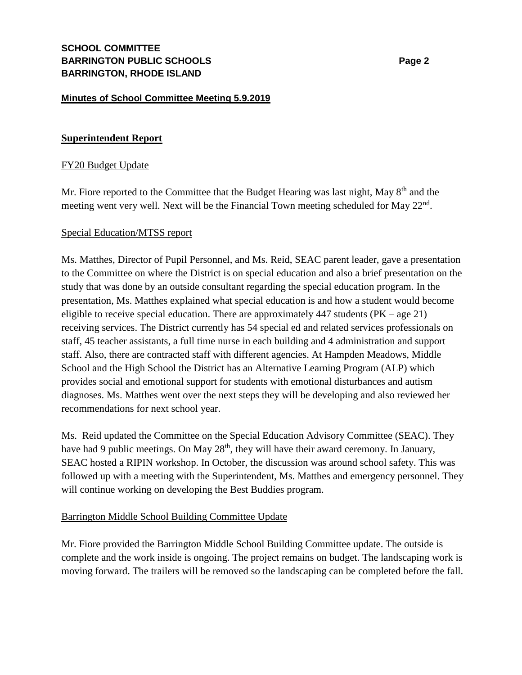### **Minutes of School Committee Meeting 5.9.2019**

### **Superintendent Report**

### FY20 Budget Update

Mr. Fiore reported to the Committee that the Budget Hearing was last night, May  $8<sup>th</sup>$  and the meeting went very well. Next will be the Financial Town meeting scheduled for May 22<sup>nd</sup>.

#### Special Education/MTSS report

Ms. Matthes, Director of Pupil Personnel, and Ms. Reid, SEAC parent leader, gave a presentation to the Committee on where the District is on special education and also a brief presentation on the study that was done by an outside consultant regarding the special education program. In the presentation, Ms. Matthes explained what special education is and how a student would become eligible to receive special education. There are approximately  $447$  students (PK – age 21) receiving services. The District currently has 54 special ed and related services professionals on staff, 45 teacher assistants, a full time nurse in each building and 4 administration and support staff. Also, there are contracted staff with different agencies. At Hampden Meadows, Middle School and the High School the District has an Alternative Learning Program (ALP) which provides social and emotional support for students with emotional disturbances and autism diagnoses. Ms. Matthes went over the next steps they will be developing and also reviewed her recommendations for next school year.

Ms. Reid updated the Committee on the Special Education Advisory Committee (SEAC). They have had 9 public meetings. On May 28<sup>th</sup>, they will have their award ceremony. In January, SEAC hosted a RIPIN workshop. In October, the discussion was around school safety. This was followed up with a meeting with the Superintendent, Ms. Matthes and emergency personnel. They will continue working on developing the Best Buddies program.

#### Barrington Middle School Building Committee Update

Mr. Fiore provided the Barrington Middle School Building Committee update. The outside is complete and the work inside is ongoing. The project remains on budget. The landscaping work is moving forward. The trailers will be removed so the landscaping can be completed before the fall.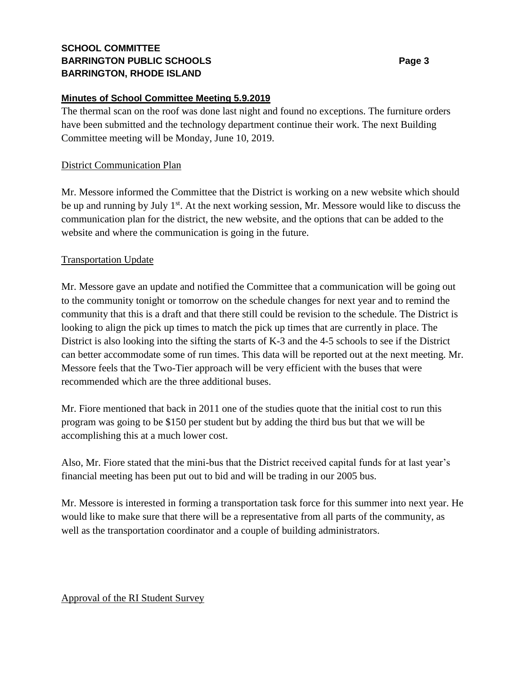# **SCHOOL COMMITTEE BARRINGTON PUBLIC SCHOOLS Page 3 BARRINGTON, RHODE ISLAND**

## **Minutes of School Committee Meeting 5.9.2019**

The thermal scan on the roof was done last night and found no exceptions. The furniture orders have been submitted and the technology department continue their work. The next Building Committee meeting will be Monday, June 10, 2019.

## District Communication Plan

Mr. Messore informed the Committee that the District is working on a new website which should be up and running by July 1<sup>st</sup>. At the next working session, Mr. Messore would like to discuss the communication plan for the district, the new website, and the options that can be added to the website and where the communication is going in the future.

### Transportation Update

Mr. Messore gave an update and notified the Committee that a communication will be going out to the community tonight or tomorrow on the schedule changes for next year and to remind the community that this is a draft and that there still could be revision to the schedule. The District is looking to align the pick up times to match the pick up times that are currently in place. The District is also looking into the sifting the starts of K-3 and the 4-5 schools to see if the District can better accommodate some of run times. This data will be reported out at the next meeting. Mr. Messore feels that the Two-Tier approach will be very efficient with the buses that were recommended which are the three additional buses.

Mr. Fiore mentioned that back in 2011 one of the studies quote that the initial cost to run this program was going to be \$150 per student but by adding the third bus but that we will be accomplishing this at a much lower cost.

Also, Mr. Fiore stated that the mini-bus that the District received capital funds for at last year's financial meeting has been put out to bid and will be trading in our 2005 bus.

Mr. Messore is interested in forming a transportation task force for this summer into next year. He would like to make sure that there will be a representative from all parts of the community, as well as the transportation coordinator and a couple of building administrators.

### Approval of the RI Student Survey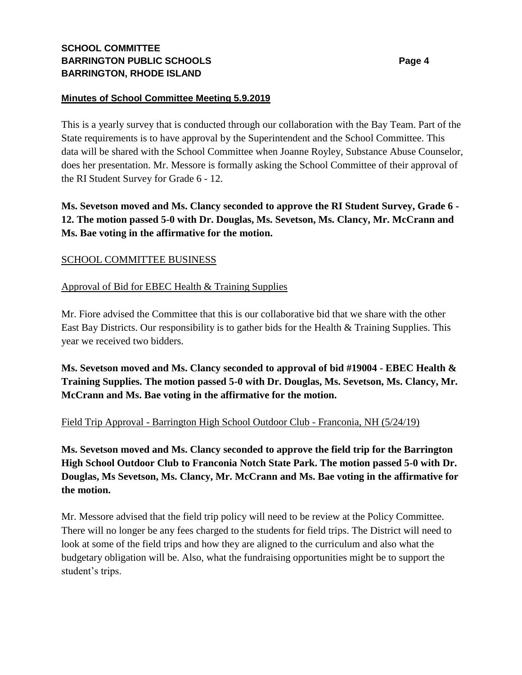# **SCHOOL COMMITTEE BARRINGTON PUBLIC SCHOOLS Page 4 BARRINGTON, RHODE ISLAND**

## **Minutes of School Committee Meeting 5.9.2019**

This is a yearly survey that is conducted through our collaboration with the Bay Team. Part of the State requirements is to have approval by the Superintendent and the School Committee. This data will be shared with the School Committee when Joanne Royley, Substance Abuse Counselor, does her presentation. Mr. Messore is formally asking the School Committee of their approval of the RI Student Survey for Grade 6 - 12.

**Ms. Sevetson moved and Ms. Clancy seconded to approve the RI Student Survey, Grade 6 - 12. The motion passed 5-0 with Dr. Douglas, Ms. Sevetson, Ms. Clancy, Mr. McCrann and Ms. Bae voting in the affirmative for the motion.**

## SCHOOL COMMITTEE BUSINESS

## Approval of Bid for EBEC Health & Training Supplies

Mr. Fiore advised the Committee that this is our collaborative bid that we share with the other East Bay Districts. Our responsibility is to gather bids for the Health & Training Supplies. This year we received two bidders.

**Ms. Sevetson moved and Ms. Clancy seconded to approval of bid #19004 - EBEC Health & Training Supplies. The motion passed 5-0 with Dr. Douglas, Ms. Sevetson, Ms. Clancy, Mr. McCrann and Ms. Bae voting in the affirmative for the motion.** 

### Field Trip Approval - Barrington High School Outdoor Club - Franconia, NH (5/24/19)

**Ms. Sevetson moved and Ms. Clancy seconded to approve the field trip for the Barrington High School Outdoor Club to Franconia Notch State Park. The motion passed 5-0 with Dr. Douglas, Ms Sevetson, Ms. Clancy, Mr. McCrann and Ms. Bae voting in the affirmative for the motion.**

Mr. Messore advised that the field trip policy will need to be review at the Policy Committee. There will no longer be any fees charged to the students for field trips. The District will need to look at some of the field trips and how they are aligned to the curriculum and also what the budgetary obligation will be. Also, what the fundraising opportunities might be to support the student's trips.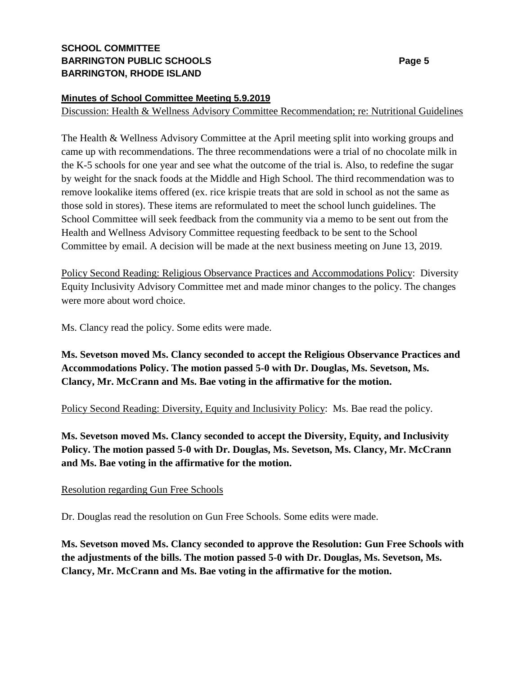# **SCHOOL COMMITTEE BARRINGTON PUBLIC SCHOOLS Page 5 BARRINGTON, RHODE ISLAND**

### **Minutes of School Committee Meeting 5.9.2019**

Discussion: Health & Wellness Advisory Committee Recommendation; re: Nutritional Guidelines

The Health & Wellness Advisory Committee at the April meeting split into working groups and came up with recommendations. The three recommendations were a trial of no chocolate milk in the K-5 schools for one year and see what the outcome of the trial is. Also, to redefine the sugar by weight for the snack foods at the Middle and High School. The third recommendation was to remove lookalike items offered (ex. rice krispie treats that are sold in school as not the same as those sold in stores). These items are reformulated to meet the school lunch guidelines. The School Committee will seek feedback from the community via a memo to be sent out from the Health and Wellness Advisory Committee requesting feedback to be sent to the School Committee by email. A decision will be made at the next business meeting on June 13, 2019.

Policy Second Reading: Religious Observance Practices and Accommodations Policy: Diversity Equity Inclusivity Advisory Committee met and made minor changes to the policy. The changes were more about word choice.

Ms. Clancy read the policy. Some edits were made.

**Ms. Sevetson moved Ms. Clancy seconded to accept the Religious Observance Practices and Accommodations Policy. The motion passed 5-0 with Dr. Douglas, Ms. Sevetson, Ms. Clancy, Mr. McCrann and Ms. Bae voting in the affirmative for the motion.**

Policy Second Reading: Diversity, Equity and Inclusivity Policy: Ms. Bae read the policy.

**Ms. Sevetson moved Ms. Clancy seconded to accept the Diversity, Equity, and Inclusivity Policy. The motion passed 5-0 with Dr. Douglas, Ms. Sevetson, Ms. Clancy, Mr. McCrann and Ms. Bae voting in the affirmative for the motion.**

### Resolution regarding Gun Free Schools

Dr. Douglas read the resolution on Gun Free Schools. Some edits were made.

**Ms. Sevetson moved Ms. Clancy seconded to approve the Resolution: Gun Free Schools with the adjustments of the bills. The motion passed 5-0 with Dr. Douglas, Ms. Sevetson, Ms. Clancy, Mr. McCrann and Ms. Bae voting in the affirmative for the motion.**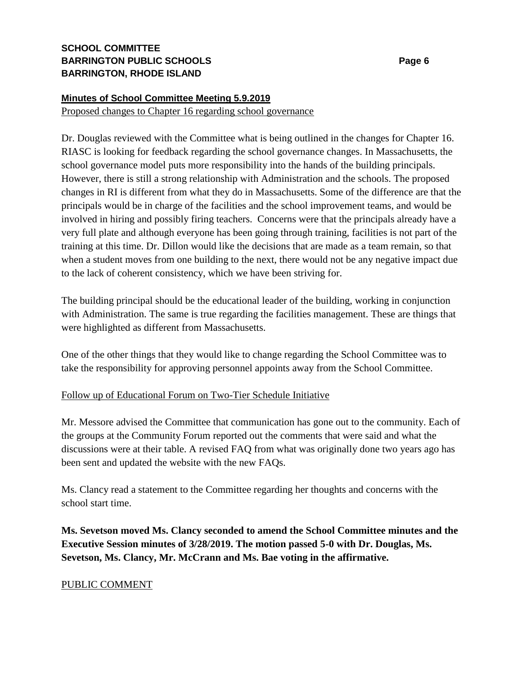# **SCHOOL COMMITTEE BARRINGTON PUBLIC SCHOOLS Page 6 BARRINGTON, RHODE ISLAND**

## **Minutes of School Committee Meeting 5.9.2019**

Proposed changes to Chapter 16 regarding school governance

Dr. Douglas reviewed with the Committee what is being outlined in the changes for Chapter 16. RIASC is looking for feedback regarding the school governance changes. In Massachusetts, the school governance model puts more responsibility into the hands of the building principals. However, there is still a strong relationship with Administration and the schools. The proposed changes in RI is different from what they do in Massachusetts. Some of the difference are that the principals would be in charge of the facilities and the school improvement teams, and would be involved in hiring and possibly firing teachers. Concerns were that the principals already have a very full plate and although everyone has been going through training, facilities is not part of the training at this time. Dr. Dillon would like the decisions that are made as a team remain, so that when a student moves from one building to the next, there would not be any negative impact due to the lack of coherent consistency, which we have been striving for.

The building principal should be the educational leader of the building, working in conjunction with Administration. The same is true regarding the facilities management. These are things that were highlighted as different from Massachusetts.

One of the other things that they would like to change regarding the School Committee was to take the responsibility for approving personnel appoints away from the School Committee.

### Follow up of Educational Forum on Two-Tier Schedule Initiative

Mr. Messore advised the Committee that communication has gone out to the community. Each of the groups at the Community Forum reported out the comments that were said and what the discussions were at their table. A revised FAQ from what was originally done two years ago has been sent and updated the website with the new FAQs.

Ms. Clancy read a statement to the Committee regarding her thoughts and concerns with the school start time.

**Ms. Sevetson moved Ms. Clancy seconded to amend the School Committee minutes and the Executive Session minutes of 3/28/2019. The motion passed 5-0 with Dr. Douglas, Ms. Sevetson, Ms. Clancy, Mr. McCrann and Ms. Bae voting in the affirmative.**

# PUBLIC COMMENT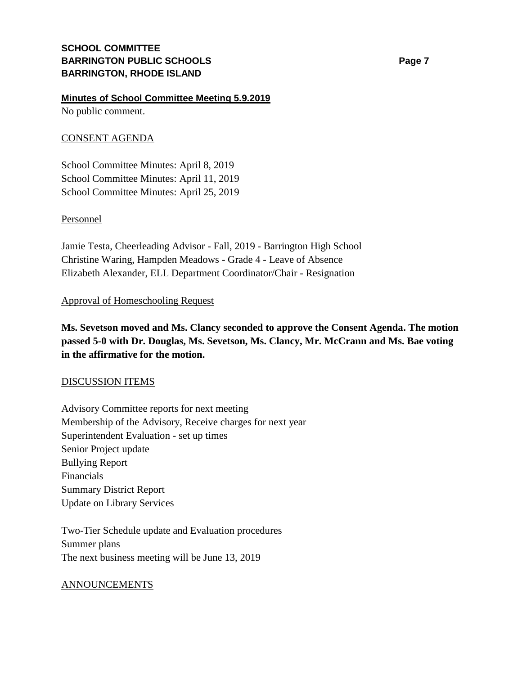#### **Minutes of School Committee Meeting 5.9.2019**

No public comment.

### CONSENT AGENDA

School Committee Minutes: April 8, 2019 School Committee Minutes: April 11, 2019 School Committee Minutes: April 25, 2019

#### Personnel

Jamie Testa, Cheerleading Advisor - Fall, 2019 - Barrington High School Christine Waring, Hampden Meadows - Grade 4 - Leave of Absence Elizabeth Alexander, ELL Department Coordinator/Chair - Resignation

#### Approval of Homeschooling Request

**Ms. Sevetson moved and Ms. Clancy seconded to approve the Consent Agenda. The motion passed 5-0 with Dr. Douglas, Ms. Sevetson, Ms. Clancy, Mr. McCrann and Ms. Bae voting in the affirmative for the motion.**

#### DISCUSSION ITEMS

Advisory Committee reports for next meeting Membership of the Advisory, Receive charges for next year Superintendent Evaluation - set up times Senior Project update Bullying Report Financials Summary District Report Update on Library Services

Two-Tier Schedule update and Evaluation procedures Summer plans The next business meeting will be June 13, 2019

#### ANNOUNCEMENTS